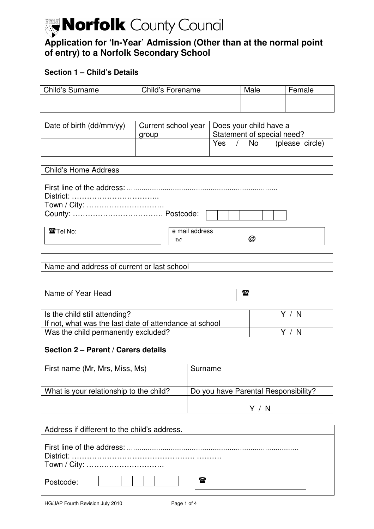# Morfolk County Council  **Application for 'In-Year' Admission (Other than at the normal point of entry) to a Norfolk Secondary School**

# **Section 1 – Child's Details**

| Child's Surname | Child's Forename | Male | Female |
|-----------------|------------------|------|--------|
|                 |                  |      |        |
|                 |                  |      |        |

| Date of birth (dd/mm/yy) | aroup | Current school year   Does your child have a<br>Statement of special need? |  |     |                 |
|--------------------------|-------|----------------------------------------------------------------------------|--|-----|-----------------|
|                          |       | <b>Yes</b>                                                                 |  | No. | (please circle) |

| Name and address of current or last school |   |  |
|--------------------------------------------|---|--|
|                                            |   |  |
|                                            |   |  |
| Name of Year Head                          | ☎ |  |

| Is the child still attending?                          | Y / N |
|--------------------------------------------------------|-------|
| If not, what was the last date of attendance at school |       |
| Was the child permanently excluded?                    | Y / N |

### **Section 2 – Parent / Carers details**

| First name (Mr, Mrs, Miss, Ms)          | Surname                              |
|-----------------------------------------|--------------------------------------|
|                                         |                                      |
| What is your relationship to the child? | Do you have Parental Responsibility? |
|                                         |                                      |
|                                         | Y / N                                |

| Address if different to the child's address. |  |  |
|----------------------------------------------|--|--|
| Town / City:                                 |  |  |
| 承<br>Postcode:                               |  |  |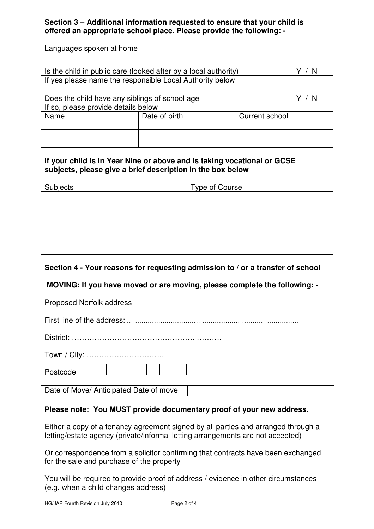### **Section 3 – Additional information requested to ensure that your child is offered an appropriate school place. Please provide the following: -**

| Languages spoken at home |  |
|--------------------------|--|

| Is the child in public care (looked after by a local authority) |                                                          |                |  |
|-----------------------------------------------------------------|----------------------------------------------------------|----------------|--|
|                                                                 | If yes please name the responsible Local Authority below |                |  |
|                                                                 |                                                          |                |  |
| Does the child have any siblings of school age                  |                                                          |                |  |
| If so, please provide details below                             |                                                          |                |  |
| Name                                                            | Date of birth                                            | Current school |  |
|                                                                 |                                                          |                |  |
|                                                                 |                                                          |                |  |
|                                                                 |                                                          |                |  |

### **If your child is in Year Nine or above and is taking vocational or GCSE subjects, please give a brief description in the box below**

| Subjects | Type of Course |
|----------|----------------|
|          |                |
|          |                |
|          |                |
|          |                |
|          |                |
|          |                |
|          |                |

## **Section 4 - Your reasons for requesting admission to / or a transfer of school**

## **MOVING: If you have moved or are moving, please complete the following: -**

| <b>Proposed Norfolk address</b>        |
|----------------------------------------|
|                                        |
|                                        |
| Town / City:                           |
| Postcode                               |
| Date of Move/ Anticipated Date of move |

### **Please note: You MUST provide documentary proof of your new address**.

 Either a copy of a tenancy agreement signed by all parties and arranged through a letting/estate agency (private/informal letting arrangements are not accepted)

 Or correspondence from a solicitor confirming that contracts have been exchanged for the sale and purchase of the property

 You will be required to provide proof of address / evidence in other circumstances (e.g. when a child changes address)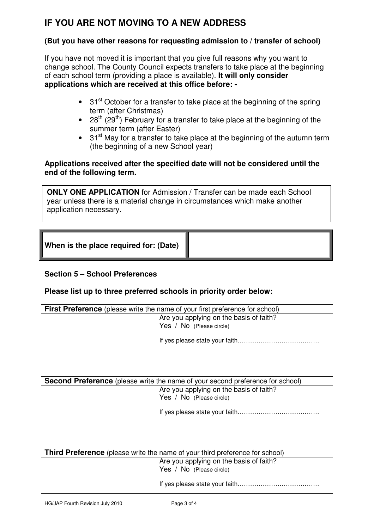# **IF YOU ARE NOT MOVING TO A NEW ADDRESS**

### **(But you have other reasons for requesting admission to / transfer of school)**

 If you have not moved it is important that you give full reasons why you want to change school. The County Council expects transfers to take place at the beginning of each school term (providing a place is available). **It will only consider applications which are received at this office before: -**

- $\bullet$  31<sup>st</sup> October for a transfer to take place at the beginning of the spring term (after Christmas)
- summer term (after Easter) • 28<sup>th</sup> (29<sup>th</sup>) February for a transfer to take place at the beginning of the
- $\bullet$  31<sup>st</sup> May for a transfer to take place at the beginning of the autumn term (the beginning of a new School year)

### **Applications received after the specified date will not be considered until the end of the following term.**

 **ONLY ONE APPLICATION** for Admission / Transfer can be made each School year unless there is a material change in circumstances which make another application necessary.

| When is the place required for: (Date) |  |
|----------------------------------------|--|
|----------------------------------------|--|

## **Section 5 – School Preferences**

### **Please list up to three preferred schools in priority order below:**

| <b>First Preference</b> (please write the name of your first preference for school) |                                         |  |
|-------------------------------------------------------------------------------------|-----------------------------------------|--|
|                                                                                     | Are you applying on the basis of faith? |  |
|                                                                                     | Yes / No (Please circle)                |  |
|                                                                                     |                                         |  |

| <b>Second Preference</b> (please write the name of your second preference for school) |                                                                     |  |
|---------------------------------------------------------------------------------------|---------------------------------------------------------------------|--|
|                                                                                       | Are you applying on the basis of faith?<br>Yes / No (Please circle) |  |
|                                                                                       |                                                                     |  |
|                                                                                       |                                                                     |  |

| <b>Third Preference</b> (please write the name of your third preference for school) |                                                                     |  |  |
|-------------------------------------------------------------------------------------|---------------------------------------------------------------------|--|--|
|                                                                                     | Are you applying on the basis of faith?<br>Yes / No (Please circle) |  |  |
|                                                                                     |                                                                     |  |  |